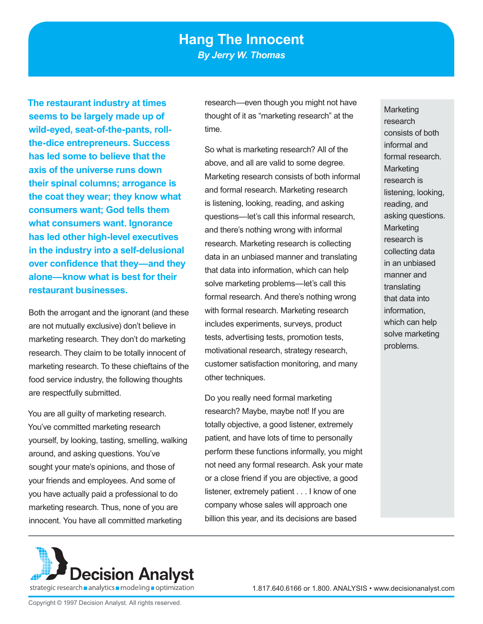**The restaurant industry at times seems to be largely made up of wild-eyed, seat-of-the-pants, rollthe-dice entrepreneurs. Success has led some to believe that the axis of the universe runs down their spinal columns; arrogance is the coat they wear; they know what consumers want; God tells them what consumers want. Ignorance has led other high-level executives in the industry into a self-delusional over confidence that they—and they alone—know what is best for their restaurant businesses.** 

Both the arrogant and the ignorant (and these are not mutually exclusive) don't believe in marketing research. They don't do marketing research. They claim to be totally innocent of marketing research. To these chieftains of the food service industry, the following thoughts are respectfully submitted.

You are all guilty of marketing research. You've committed marketing research yourself, by looking, tasting, smelling, walking around, and asking questions. You've sought your mate's opinions, and those of your friends and employees. And some of you have actually paid a professional to do marketing research. Thus, none of you are innocent. You have all committed marketing

research—even though you might not have thought of it as "marketing research" at the time.

So what is marketing research? All of the above, and all are valid to some degree. Marketing research consists of both informal and formal research. Marketing research is listening, looking, reading, and asking questions—let's call this informal research, and there's nothing wrong with informal research. Marketing research is collecting data in an unbiased manner and translating that data into information, which can help solve marketing problems—let's call this formal research. And there's nothing wrong with formal research. Marketing research includes experiments, surveys, product tests, advertising tests, promotion tests, motivational research, strategy research, customer satisfaction monitoring, and many other techniques.

Do you really need formal marketing research? Maybe, maybe not! If you are totally objective, a good listener, extremely patient, and have lots of time to personally perform these functions informally, you might not need any formal research. Ask your mate or a close friend if you are objective, a good listener, extremely patient . . . I know of one company whose sales will approach one billion this year, and its decisions are based

**Marketing** research consists of both informal and formal research. **Marketing** research is listening, looking, reading, and asking questions. **Marketing** research is collecting data in an unbiased manner and translating that data into information, which can help solve marketing problems.

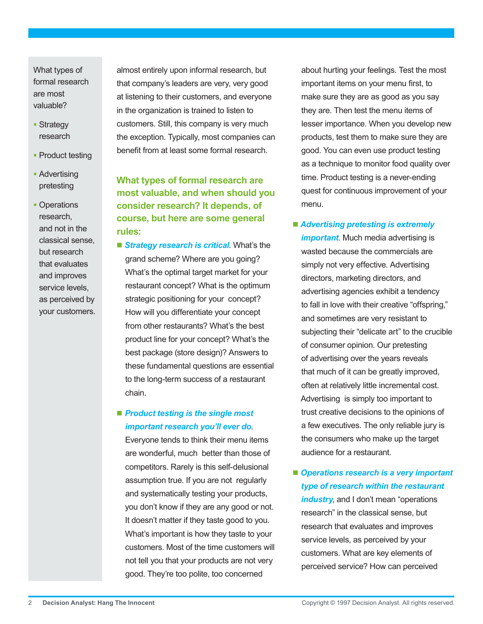What types of formal research are most valuable?

- Strategy research
- Product testing
- **Advertising** pretesting
- Operations research, and not in the classical sense, but research that evaluates and improves service levels, as perceived by your customers.

almost entirely upon informal research, but that company's leaders are very, very good at listening to their customers, and everyone in the organization is trained to listen to customers. Still, this company is very much the exception. Typically, most companies can benefit from at least some formal research.

# **What types of formal research are most valuable, and when should you consider research? It depends, of course, but here are some general rules:**

**B** Strategy research is critical. What's the grand scheme? Where are you going? What's the optimal target market for your restaurant concept? What is the optimum strategic positioning for your concept? How will you differentiate your concept from other restaurants? What's the best product line for your concept? What's the best package (store design)? Answers to these fundamental questions are essential to the long-term success of a restaurant chain.

## ■ **Product testing is the single most** *important research you'll ever do*.

Everyone tends to think their menu items are wonderful, much better than those of competitors. Rarely is this self-delusional assumption true. If you are not regularly and systematically testing your products, you don't know if they are any good or not. It doesn't matter if they taste good to you. What's important is how they taste to your customers. Most of the time customers will not tell you that your products are not very good. They're too polite, too concerned

about hurting your feelings. Test the most important items on your menu first, to make sure they are as good as you say they are. Then test the menu items of lesser importance. When you develop new products, test them to make sure they are good. You can even use product testing as a technique to monitor food quality over time. Product testing is a never-ending quest for continuous improvement of your menu.

*Advertising pretesting is extremely* 

*important*. Much media advertising is wasted because the commercials are simply not very effective. Advertising directors, marketing directors, and advertising agencies exhibit a tendency to fall in love with their creative "offspring," and sometimes are very resistant to subjecting their "delicate art" to the crucible of consumer opinion. Our pretesting of advertising over the years reveals that much of it can be greatly improved, often at relatively little incremental cost. Advertising is simply too important to trust creative decisions to the opinions of a few executives. The only reliable jury is the consumers who make up the target audience for a restaurant.

■ Operations research is a very important *type of research within the restaurant industry*, and I don't mean "operations research" in the classical sense, but research that evaluates and improves service levels, as perceived by your customers. What are key elements of perceived service? How can perceived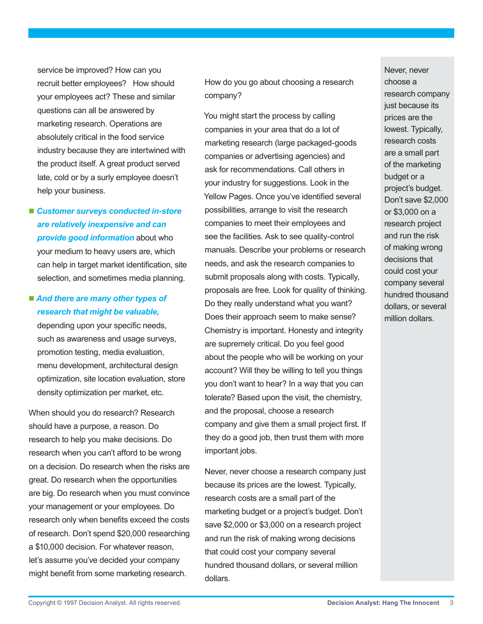service be improved? How can you recruit better employees? How should your employees act? These and similar questions can all be answered by marketing research. Operations are absolutely critical in the food service industry because they are intertwined with the product itself. A great product served late, cold or by a surly employee doesn't help your business.

 *Customer surveys conducted in-store are relatively inexpensive and can provide good information* about who your medium to heavy users are, which can help in target market identification, site selection, and sometimes media planning.

■ And there are many other types of *research that might be valuable,* depending upon your specific needs, such as awareness and usage surveys, promotion testing, media evaluation, menu development, architectural design

optimization, site location evaluation, store

density optimization per market, etc.

When should you do research? Research should have a purpose, a reason. Do research to help you make decisions. Do research when you can't afford to be wrong on a decision. Do research when the risks are great. Do research when the opportunities are big. Do research when you must convince your management or your employees. Do research only when benefits exceed the costs of research. Don't spend \$20,000 researching a \$10,000 decision. For whatever reason, let's assume you've decided your company might benefit from some marketing research.

How do you go about choosing a research company?

You might start the process by calling companies in your area that do a lot of marketing research (large packaged-goods companies or advertising agencies) and ask for recommendations. Call others in your industry for suggestions. Look in the Yellow Pages. Once you've identified several possibilities, arrange to visit the research companies to meet their employees and see the facilities. Ask to see quality-control manuals. Describe your problems or research needs, and ask the research companies to submit proposals along with costs. Typically, proposals are free. Look for quality of thinking. Do they really understand what you want? Does their approach seem to make sense? Chemistry is important. Honesty and integrity are supremely critical. Do you feel good about the people who will be working on your account? Will they be willing to tell you things you don't want to hear? In a way that you can tolerate? Based upon the visit, the chemistry, and the proposal, choose a research company and give them a small project first. If they do a good job, then trust them with more important jobs.

Never, never choose a research company just because its prices are the lowest. Typically, research costs are a small part of the marketing budget or a project's budget. Don't save \$2,000 or \$3,000 on a research project and run the risk of making wrong decisions that could cost your company several hundred thousand dollars, or several million dollars.

Never, never choose a research company just because its prices are the lowest. Typically, research costs are a small part of the marketing budget or a project's budget. Don't save \$2,000 or \$3,000 on a research project and run the risk of making wrong decisions that could cost your company several hundred thousand dollars, or several million dollars.